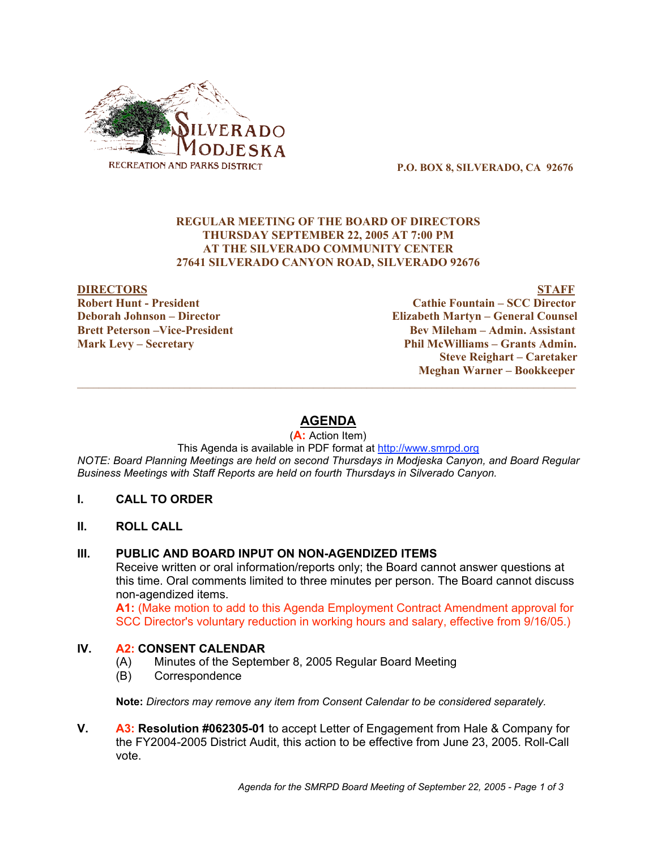

P.O. BOX 8, SILVERADO, CA 92676

#### REGULAR MEETING OF THE BOARD OF DIRECTORS THURSDAY SEPTEMBER 22, 2005 AT 7:00 PM AT THE SILVERADO COMMUNITY CENTER 27641 SILVERADO CANYON ROAD, SILVERADO 92676

DIRECTORS STAFF Robert Hunt - President Cathie Fountain – SCC Director Deborah Johnson – Director Elizabeth Martyn – General Counsel Brett Peterson –Vice-President Electronic Control Bev Mileham – Admin. Assistant Mark Levy – Secretary Phil McWilliams – Grants Admin. Steve Reighart – Caretaker Meghan Warner – Bookkeeper

# **AGENDA**

(**A:** Action Item)

This Agenda is available in PDF format at http://www.smrpd.org *NOTE: Board Planning Meetings are held on second Thursdays in Modjeska Canyon, and Board Regular Business Meetings with Staff Reports are held on fourth Thursdays in Silverado Canyon.*

- **I. CALL TO ORDER**
- **II. ROLL CALL**

## **III. PUBLIC AND BOARD INPUT ON NON-AGENDIZED ITEMS**

Receive written or oral information/reports only; the Board cannot answer questions at this time. Oral comments limited to three minutes per person. The Board cannot discuss non-agendized items.

**A1:** (Make motion to add to this Agenda Employment Contract Amendment approval for SCC Director's voluntary reduction in working hours and salary, effective from 9/16/05.)

## **IV. A2: CONSENT CALENDAR**

- (A) Minutes of the September 8, 2005 Regular Board Meeting
- (B) Correspondence

**Note:** *Directors may remove any item from Consent Calendar to be considered separately.*

**V. A3: Resolution #062305-01** to accept Letter of Engagement from Hale & Company for the FY2004-2005 District Audit, this action to be effective from June 23, 2005. Roll-Call vote.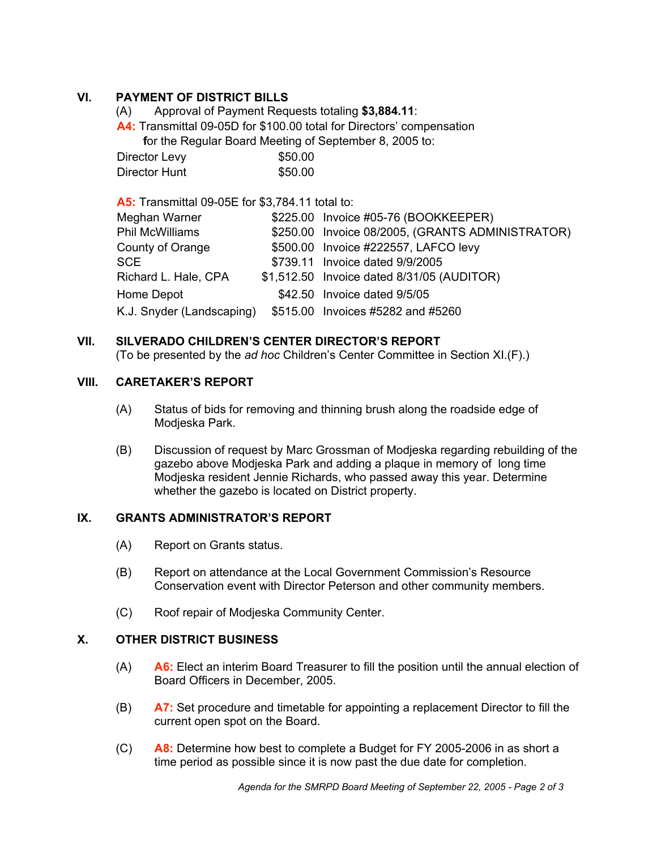# **VI. PAYMENT OF DISTRICT BILLS**

- (A) Approval of Payment Requests totaling **\$3,884.11**:
- **A4:** Transmittal 09-05D for \$100.00 total for Directors' compensation

 **f**or the Regular Board Meeting of September 8, 2005 to:

| Director Levy | \$50.00 |
|---------------|---------|
| Director Hunt | \$50.00 |

**A5:** Transmittal 09-05E for \$3,784.11 total to: Meghan Warner \$225.00 Invoice #05-76 (BOOKKEEPER) Phil McWilliams \$250.00 Invoice 08/2005, (GRANTS ADMINISTRATOR) County of Orange  $$500.00$  Invoice #222557, LAFCO levy SCE \$739.11 Invoice dated 9/9/2005 Richard L. Hale, CPA \$1,512.50 Invoice dated 8/31/05 (AUDITOR) Home Depot  $$42.50$  Invoice dated 9/5/05 K.J. Snyder (Landscaping) \$515.00 Invoices #5282 and #5260

## **VII. SILVERADO CHILDREN'S CENTER DIRECTOR'S REPORT**

(To be presented by the *ad hoc* Children's Center Committee in Section XI.(F).)

## **VIII. CARETAKER'S REPORT**

- (A) Status of bids for removing and thinning brush along the roadside edge of Modjeska Park.
- (B) Discussion of request by Marc Grossman of Modjeska regarding rebuilding of the gazebo above Modjeska Park and adding a plaque in memory of long time Modjeska resident Jennie Richards, who passed away this year. Determine whether the gazebo is located on District property.

## **IX. GRANTS ADMINISTRATOR'S REPORT**

- (A) Report on Grants status.
- (B) Report on attendance at the Local Government Commission's Resource Conservation event with Director Peterson and other community members.
- (C) Roof repair of Modjeska Community Center.

## **X. OTHER DISTRICT BUSINESS**

- (A) **A6:** Elect an interim Board Treasurer to fill the position until the annual election of Board Officers in December, 2005.
- (B) **A7:** Set procedure and timetable for appointing a replacement Director to fill the current open spot on the Board.
- (C) **A8:** Determine how best to complete a Budget for FY 2005-2006 in as short a time period as possible since it is now past the due date for completion.